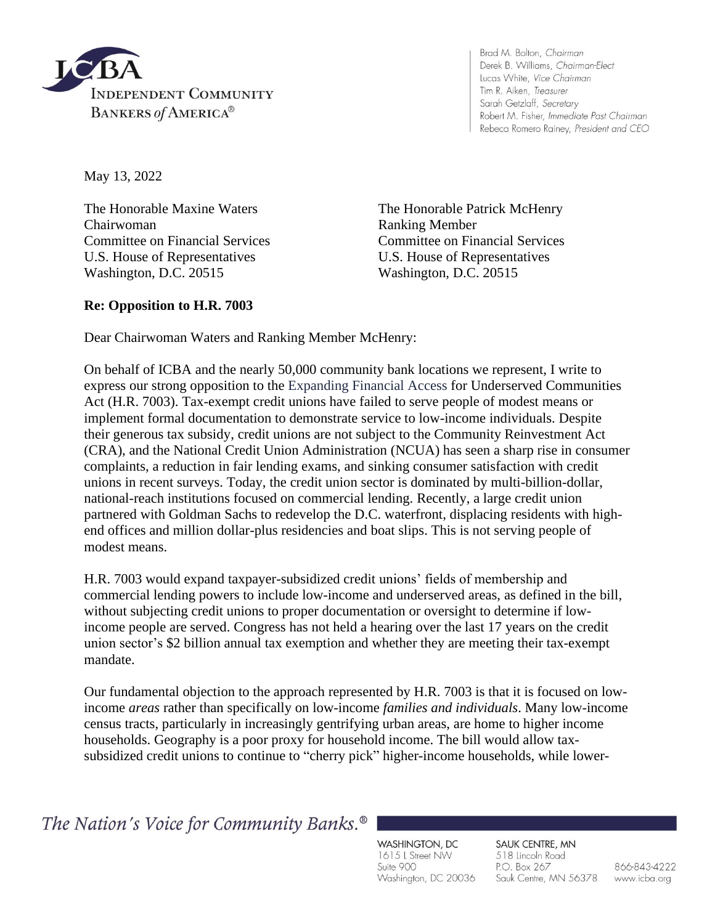

Brad M. Bolton, Chairman Derek B. Williams, Chairman-Elect Lucas White, Vice Chairman Tim R. Aiken, Treasurer Sarah Getzlaff, Secretary Robert M. Fisher, Immediate Past Chairman Rebeca Romero Rainey, President and CEO

May 13, 2022

The Honorable Maxine Waters The Honorable Patrick McHenry Chairwoman Ranking Member U.S. House of Representatives U.S. House of Representatives Washington, D.C. 20515 Washington, D.C. 20515

Committee on Financial Services Committee on Financial Services

## **Re: Opposition to H.R. 7003**

Dear Chairwoman Waters and Ranking Member McHenry:

On behalf of ICBA and the nearly 50,000 community bank locations we represent, I write to express our strong opposition to the Expanding Financial Access for Underserved Communities Act (H.R. 7003). Tax-exempt credit unions have failed to serve people of modest means or implement formal documentation to demonstrate service to low-income individuals. Despite their generous tax subsidy, credit unions are not subject to the Community Reinvestment Act (CRA), and the National Credit Union Administration (NCUA) has seen a sharp rise in consumer complaints, a reduction in fair lending exams, and sinking consumer satisfaction with credit unions in recent surveys. Today, the credit union sector is dominated by multi-billion-dollar, national-reach institutions focused on commercial lending. Recently, a large credit union partnered with Goldman Sachs to redevelop the D.C. waterfront, displacing residents with highend offices and million dollar-plus residencies and boat slips. This is not serving people of modest means.

H.R. 7003 would expand taxpayer-subsidized credit unions' fields of membership and commercial lending powers to include low-income and underserved areas, as defined in the bill, without subjecting credit unions to proper documentation or oversight to determine if lowincome people are served. Congress has not held a hearing over the last 17 years on the credit union sector's \$2 billion annual tax exemption and whether they are meeting their tax-exempt mandate.

Our fundamental objection to the approach represented by H.R. 7003 is that it is focused on lowincome *areas* rather than specifically on low-income *families and individuals*. Many low-income census tracts, particularly in increasingly gentrifying urban areas, are home to higher income households. Geography is a poor proxy for household income. The bill would allow taxsubsidized credit unions to continue to "cherry pick" higher-income households, while lower-

The Nation's Voice for Community Banks.<sup>®</sup>

WASHINGTON, DC 1615 L Street NW Suite 900 Washington, DC 20036

SAUK CENTRE, MN 518 Lincoln Road P.O. Box 267 Sauk Centre, MN 56378

866-843-4222 www.icba.org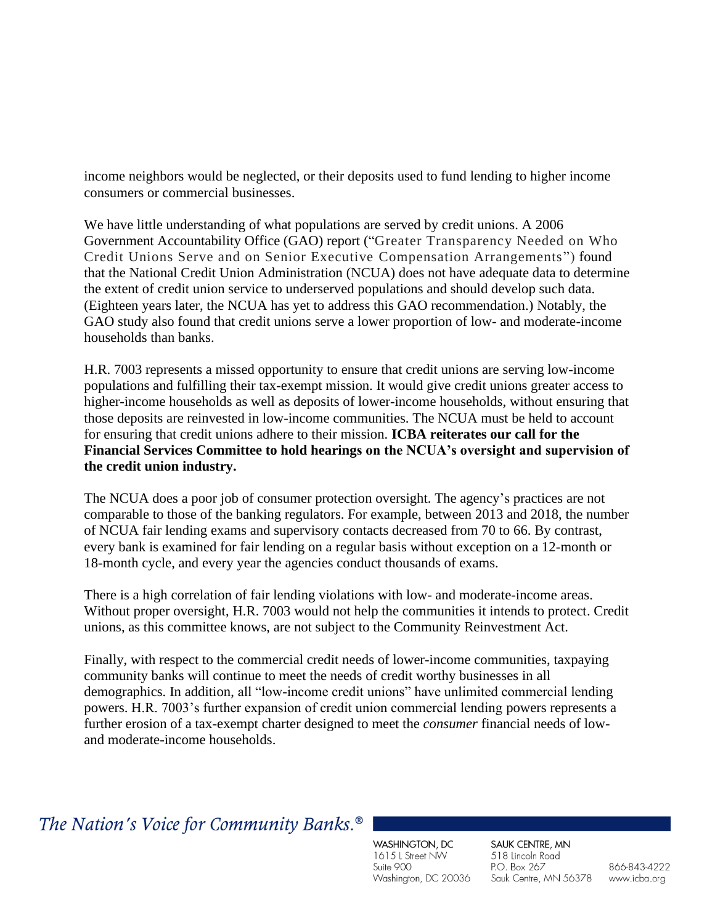income neighbors would be neglected, or their deposits used to fund lending to higher income consumers or commercial businesses.

We have little understanding of what populations are served by credit unions. A 2006 Government Accountability Office (GAO) report ("Greater Transparency Needed on Who Credit Unions Serve and on Senior Executive Compensation Arrangements") found that the National Credit Union Administration (NCUA) does not have adequate data to determine the extent of credit union service to underserved populations and should develop such data. (Eighteen years later, the NCUA has yet to address this GAO recommendation.) Notably, the GAO study also found that credit unions serve a lower proportion of low- and moderate-income households than banks.

H.R. 7003 represents a missed opportunity to ensure that credit unions are serving low-income populations and fulfilling their tax-exempt mission. It would give credit unions greater access to higher-income households as well as deposits of lower-income households, without ensuring that those deposits are reinvested in low-income communities. The NCUA must be held to account for ensuring that credit unions adhere to their mission. **ICBA reiterates our call for the Financial Services Committee to hold hearings on the NCUA's oversight and supervision of the credit union industry.** 

The NCUA does a poor job of consumer protection oversight. The agency's practices are not comparable to those of the banking regulators. For example, between 2013 and 2018, the number of NCUA fair lending exams and supervisory contacts decreased from 70 to 66. By contrast, every bank is examined for fair lending on a regular basis without exception on a 12-month or 18-month cycle, and every year the agencies conduct thousands of exams.

There is a high correlation of fair lending violations with low- and moderate-income areas. Without proper oversight, H.R. 7003 would not help the communities it intends to protect. Credit unions, as this committee knows, are not subject to the Community Reinvestment Act.

Finally, with respect to the commercial credit needs of lower-income communities, taxpaying community banks will continue to meet the needs of credit worthy businesses in all demographics. In addition, all "low-income credit unions" have unlimited commercial lending powers. H.R. 7003's further expansion of credit union commercial lending powers represents a further erosion of a tax-exempt charter designed to meet the *consumer* financial needs of lowand moderate-income households.

## The Nation's Voice for Community Banks.<sup>®</sup>

WASHINGTON, DC 1615 L Street NW Suite 900 Washington, DC 20036

SAUK CENTRE, MN 518 Lincoln Road P.O. Box 267 Sauk Centre, MN 56378

866-843-4222 www.icba.org